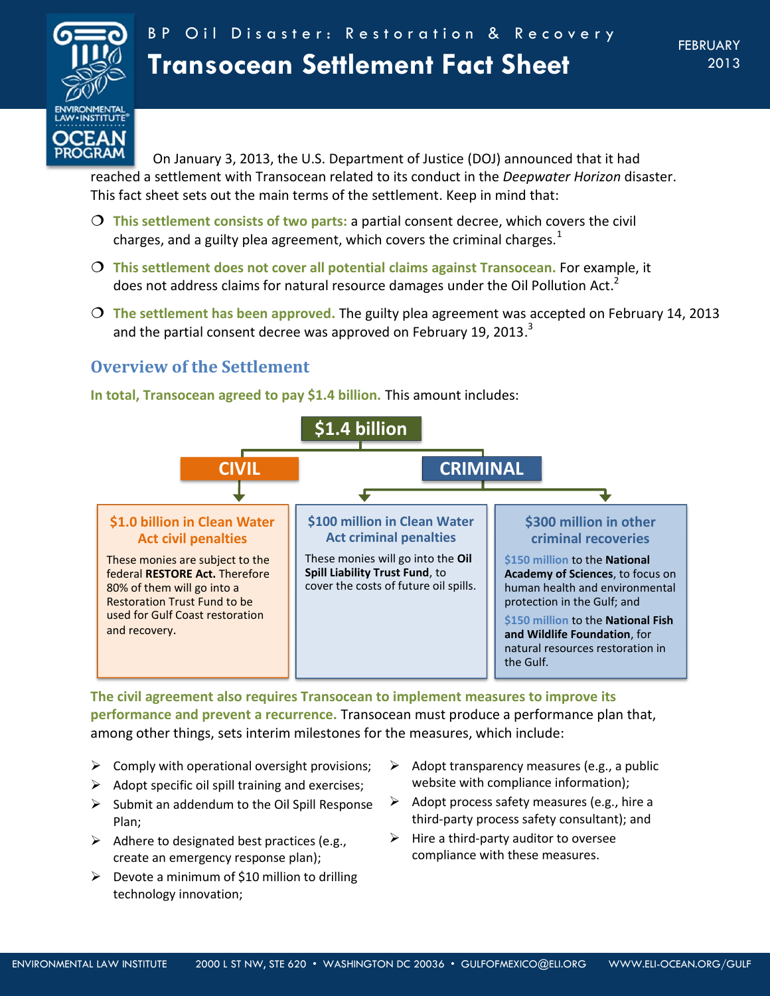

On January 3, 2013, the U.S. Department of Justice (DOJ) announced that it had reached a settlement with Transocean related to its conduct in the *Deepwater Horizon* disaster. This fact sheet sets out the main terms of the settlement. Keep in mind that:

- **This settlement consists of two parts:** a partial consent decree, which covers the civil charges, and a guilty plea agreement, which covers the criminal charges. $<sup>1</sup>$ </sup>
- **This settlement does not cover all potential claims against Transocean.** For example, it does not address claims for natural resource damages under the Oil Pollution Act.<sup>2</sup>
- **The settlement has been approved.** The guilty plea agreement was accepted on February 14, 2013 and the partial consent decree was approved on February 19, 2013. $^3$

# **Overview of the Settlement**



**In total, Transocean agreed to pay \$1.4 billion.** This amount includes:

**The civil agreement also requires Transocean to implement measures to improve its performance and prevent a recurrence.** Transocean must produce a performance plan that, among other things, sets interim milestones for the measures, which include:

- $\triangleright$  Comply with operational oversight provisions;
- $\triangleright$  Adopt specific oil spill training and exercises;
- $\triangleright$  Submit an addendum to the Oil Spill Response Plan;
- $\triangleright$  Adhere to designated best practices (e.g., create an emergency response plan);
- $\triangleright$  Devote a minimum of \$10 million to drilling technology innovation;
- $\triangleright$  Adopt transparency measures (e.g., a public website with compliance information);
- $\triangleright$  Adopt process safety measures (e.g., hire a third-party process safety consultant); and
- $\triangleright$  Hire a third-party auditor to oversee compliance with these measures.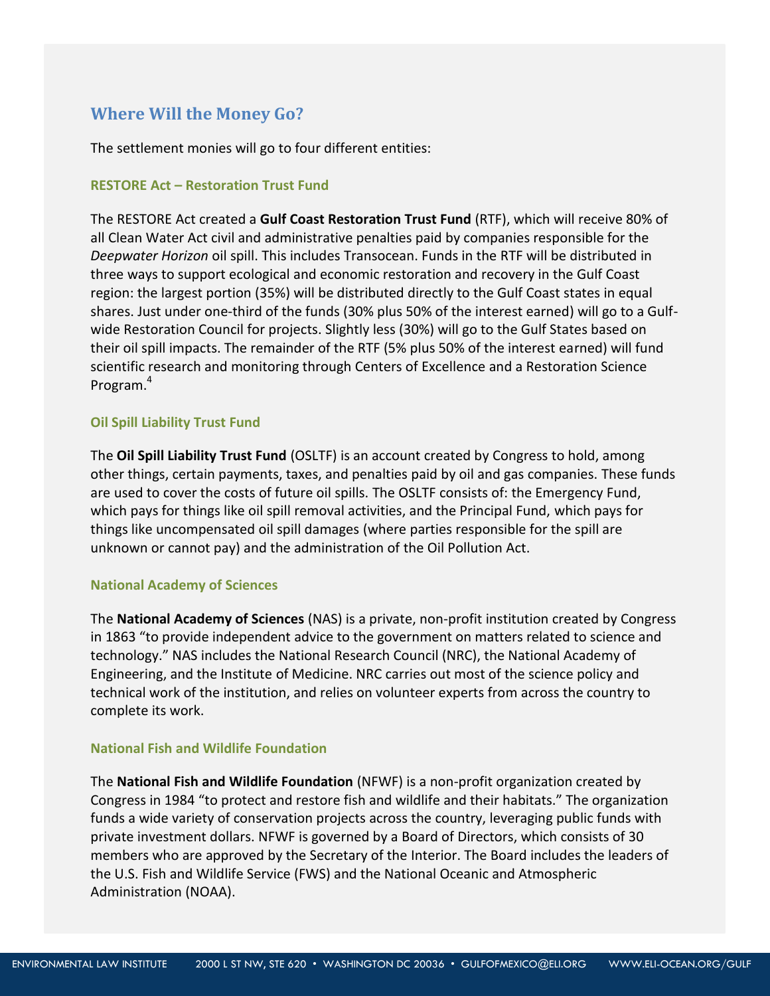## **Where Will the Money Go?**

The settlement monies will go to four different entities:

## **RESTORE Act – Restoration Trust Fund**

The RESTORE Act created a **Gulf Coast Restoration Trust Fund** (RTF), which will receive 80% of all Clean Water Act civil and administrative penalties paid by companies responsible for the *Deepwater Horizon* oil spill. This includes Transocean. Funds in the RTF will be distributed in three ways to support ecological and economic restoration and recovery in the Gulf Coast region: the largest portion (35%) will be distributed directly to the Gulf Coast states in equal shares. Just under one-third of the funds (30% plus 50% of the interest earned) will go to a Gulfwide Restoration Council for projects. Slightly less (30%) will go to the Gulf States based on their oil spill impacts. The remainder of the RTF (5% plus 50% of the interest earned) will fund scientific research and monitoring through Centers of Excellence and a Restoration Science Program.<sup>4</sup>

## **Oil Spill Liability Trust Fund**

The **Oil Spill Liability Trust Fund** (OSLTF) is an account created by Congress to hold, among other things, certain payments, taxes, and penalties paid by oil and gas companies. These funds are used to cover the costs of future oil spills. The OSLTF consists of: the Emergency Fund, which pays for things like oil spill removal activities, and the Principal Fund, which pays for things like uncompensated oil spill damages (where parties responsible for the spill are unknown or cannot pay) and the administration of the Oil Pollution Act.

#### **National Academy of Sciences**

The **National Academy of Sciences** (NAS) is a private, non-profit institution created by Congress in 1863 "to provide independent advice to the government on matters related to science and technology." NAS includes the National Research Council (NRC), the National Academy of Engineering, and the Institute of Medicine. NRC carries out most of the science policy and technical work of the institution, and relies on volunteer experts from across the country to complete its work.

## **National Fish and Wildlife Foundation**

The **National Fish and Wildlife Foundation** (NFWF) is a non-profit organization created by Congress in 1984 "to protect and restore fish and wildlife and their habitats." The organization funds a wide variety of conservation projects across the country, leveraging public funds with private investment dollars. NFWF is governed by a Board of Directors, which consists of 30 members who are approved by the Secretary of the Interior. The Board includes the leaders of the U.S. Fish and Wildlife Service (FWS) and the National Oceanic and Atmospheric Administration (NOAA).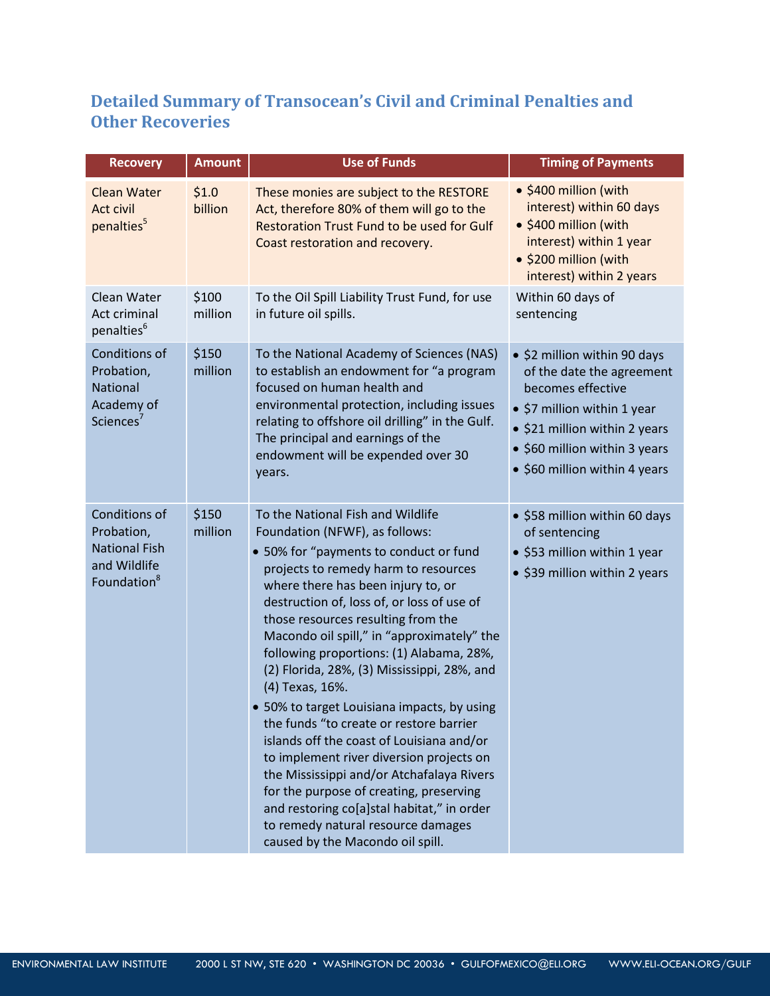# **Detailed Summary of Transocean's Civil and Criminal Penalties and Other Recoveries**

| <b>Recovery</b>                                                                                       | <b>Amount</b>    | <b>Use of Funds</b>                                                                                                                                                                                                                                                                                                                                                                                                                                                                                                                                                                                                                                                                                                                                                                                                                            | <b>Timing of Payments</b>                                                                                                                                                                                        |
|-------------------------------------------------------------------------------------------------------|------------------|------------------------------------------------------------------------------------------------------------------------------------------------------------------------------------------------------------------------------------------------------------------------------------------------------------------------------------------------------------------------------------------------------------------------------------------------------------------------------------------------------------------------------------------------------------------------------------------------------------------------------------------------------------------------------------------------------------------------------------------------------------------------------------------------------------------------------------------------|------------------------------------------------------------------------------------------------------------------------------------------------------------------------------------------------------------------|
| <b>Clean Water</b><br>Act civil<br>penalties <sup>5</sup>                                             | \$1.0<br>billion | These monies are subject to the RESTORE<br>Act, therefore 80% of them will go to the<br>Restoration Trust Fund to be used for Gulf<br>Coast restoration and recovery.                                                                                                                                                                                                                                                                                                                                                                                                                                                                                                                                                                                                                                                                          | • \$400 million (with<br>interest) within 60 days<br>· \$400 million (with<br>interest) within 1 year<br>· \$200 million (with<br>interest) within 2 years                                                       |
| Clean Water<br>Act criminal<br>penalties <sup>6</sup>                                                 | \$100<br>million | To the Oil Spill Liability Trust Fund, for use<br>in future oil spills.                                                                                                                                                                                                                                                                                                                                                                                                                                                                                                                                                                                                                                                                                                                                                                        | Within 60 days of<br>sentencing                                                                                                                                                                                  |
| Conditions of<br>Probation,<br><b>National</b><br>Academy of<br>Sciences <sup>7</sup>                 | \$150<br>million | To the National Academy of Sciences (NAS)<br>to establish an endowment for "a program<br>focused on human health and<br>environmental protection, including issues<br>relating to offshore oil drilling" in the Gulf.<br>The principal and earnings of the<br>endowment will be expended over 30<br>years.                                                                                                                                                                                                                                                                                                                                                                                                                                                                                                                                     | • \$2 million within 90 days<br>of the date the agreement<br>becomes effective<br>• \$7 million within 1 year<br>• \$21 million within 2 years<br>• \$60 million within 3 years<br>• \$60 million within 4 years |
| <b>Conditions of</b><br>Probation,<br><b>National Fish</b><br>and Wildlife<br>Foundation <sup>8</sup> | \$150<br>million | To the National Fish and Wildlife<br>Foundation (NFWF), as follows:<br>• 50% for "payments to conduct or fund<br>projects to remedy harm to resources<br>where there has been injury to, or<br>destruction of, loss of, or loss of use of<br>those resources resulting from the<br>Macondo oil spill," in "approximately" the<br>following proportions: (1) Alabama, 28%,<br>(2) Florida, 28%, (3) Mississippi, 28%, and<br>(4) Texas, 16%.<br>• 50% to target Louisiana impacts, by using<br>the funds "to create or restore barrier<br>islands off the coast of Louisiana and/or<br>to implement river diversion projects on<br>the Mississippi and/or Atchafalaya Rivers<br>for the purpose of creating, preserving<br>and restoring co[a]stal habitat," in order<br>to remedy natural resource damages<br>caused by the Macondo oil spill. | • \$58 million within 60 days<br>of sentencing<br>• \$53 million within 1 year<br>• \$39 million within 2 years                                                                                                  |